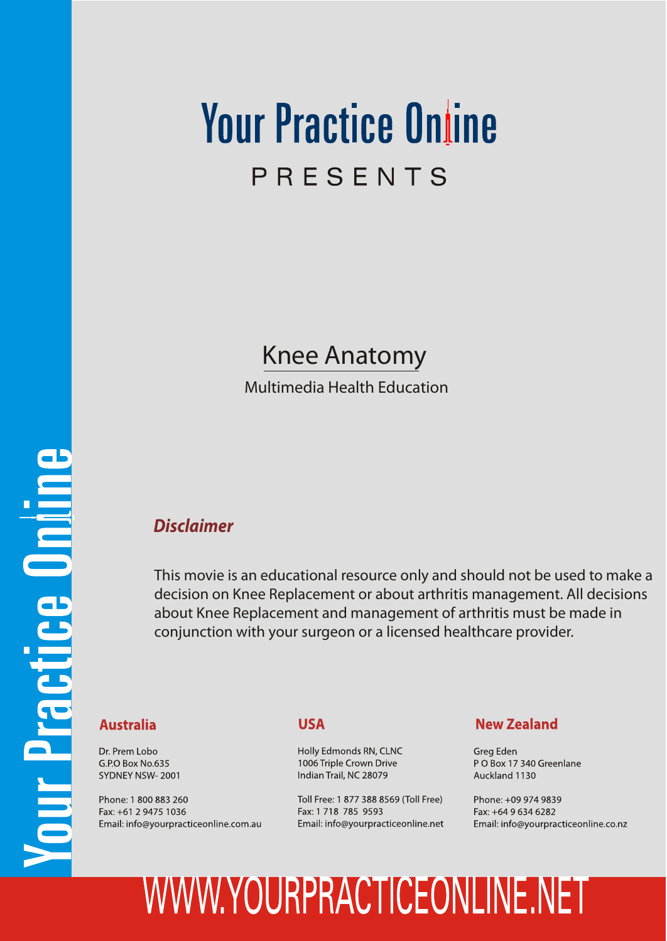## **Your Practice Online** PRESENTS

## Knee Anatomy

Multimedia Health Education

## *Disclaimer*

This movie is an educational resource only and should not be used to make a decision on Knee Replacement or about arthritis management. All decisions about Knee Replacement and management of arthritis must be made in conjunction with your surgeon or a licensed healthcare provider.

## **Australia**

Dr. Prem Lobo G.P.O Box No.635 SYDNEY NSW-2001

Phone: 1 800 883 260 Fax: +61 2 9475 1036 Email: info@yourpracticeonline.com.au

#### **USA**

Holly Edmonds RN, CLNC 1006 Triple Crown Drive Indian Trail, NC 28079

Toll Free: 1 877 388 8569 (Toll Free) Fax: 1 718 785 9593 Email: info@yourpracticeonline.net

#### **New Zealand**

Greg Eden PO Box 17 340 Greenlane Auckland 1130

Phone: +09 974 9839 Fax: +64 9 634 6282 Email: info@yourpracticeonline.co.nz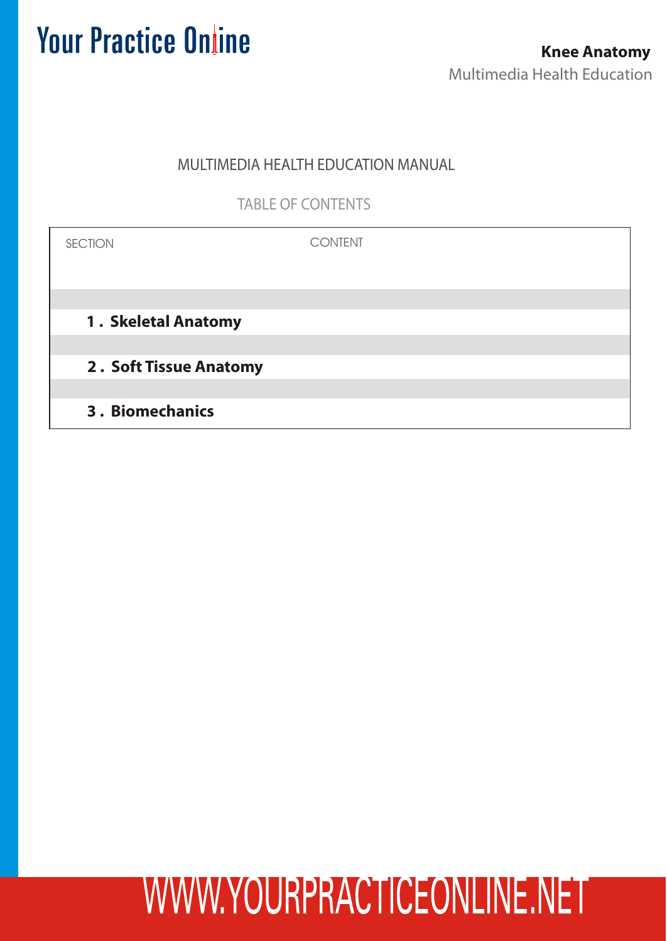## MULTIMEDIA HEALTH EDUCATION MANUAL

TABLE OF CONTENTS

| <b>SECTION</b>         | <b>CONTENT</b> |
|------------------------|----------------|
|                        |                |
|                        |                |
| 1. Skeletal Anatomy    |                |
|                        |                |
| 2. Soft Tissue Anatomy |                |
|                        |                |
| <b>3. Biomechanics</b> |                |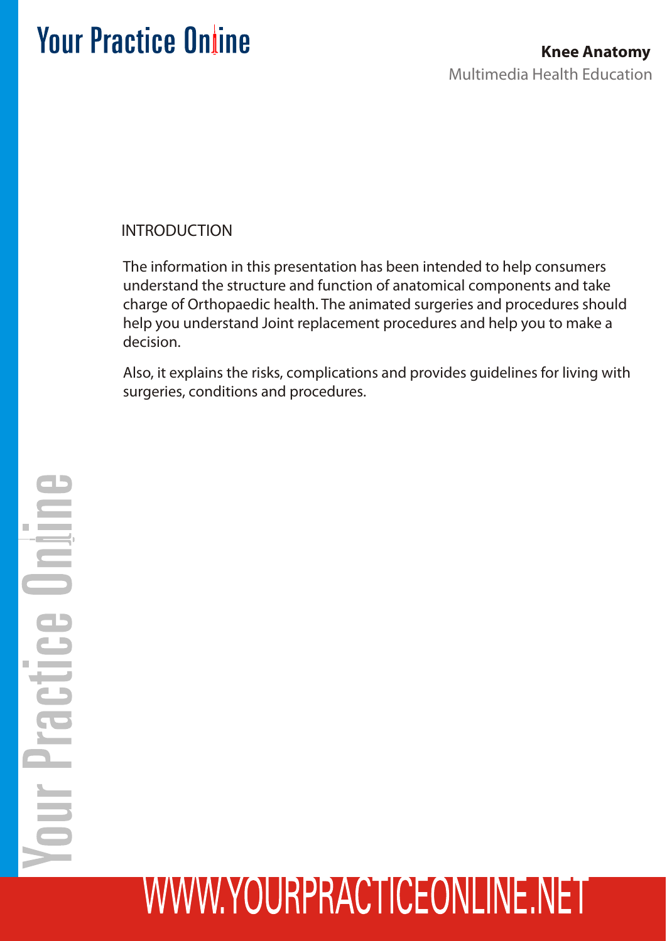## INTRODUCTION

The information in this presentation has been intended to help consumers understand the structure and function of anatomical components and take charge of Orthopaedic health. The animated surgeries and procedures should help you understand Joint replacement procedures and help you to make a decision.

Also, it explains the risks, complications and provides guidelines for living with surgeries, conditions and procedures.

# **Shirt** Practice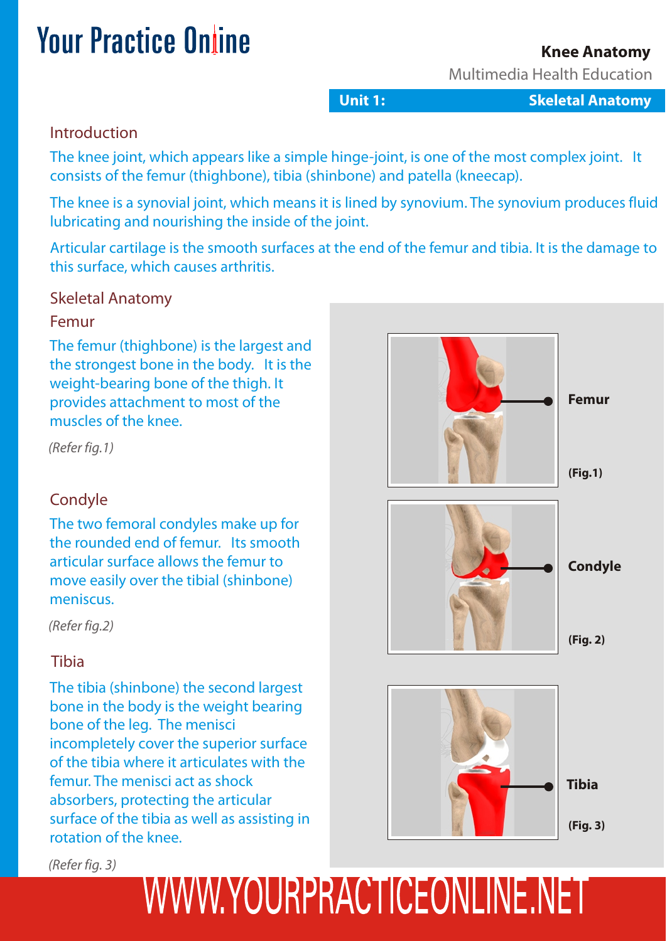## **Knee Anatomy**

Multimedia Health Education

**Unit 1: Skeletal Anatomy**

## Introduction

The knee joint, which appears like a simple hinge-joint, is one of the most complex joint. It consists of the femur (thighbone), tibia (shinbone) and patella (kneecap).

The knee is a synovial joint, which means it is lined by synovium. The synovium produces fluid lubricating and nourishing the inside of the joint.

Articular cartilage is the smooth surfaces at the end of the femur and tibia. It is the damage to this surface, which causes arthritis.

## Skeletal Anatomy

#### Femur

The femur (thighbone) is the largest and the strongest bone in the body. It is the weight-bearing bone of the thigh. It provides attachment to most of the muscles of the knee.

*(Refer fig.1)*

## **Condyle**

The two femoral condyles make up for the rounded end of femur. Its smooth articular surface allows the femur to move easily over the tibial (shinbone) meniscus.

*(Refer fig.2)*

## Tibia

The tibia (shinbone) the second largest bone in the body is the weight bearing bone of the leg. The menisci incompletely cover the superior surface of the tibia where it articulates with the femur. The menisci act as shock absorbers, protecting the articular surface of the tibia as well as assisting in rotation of the knee.

*(Refer fig. 3)*

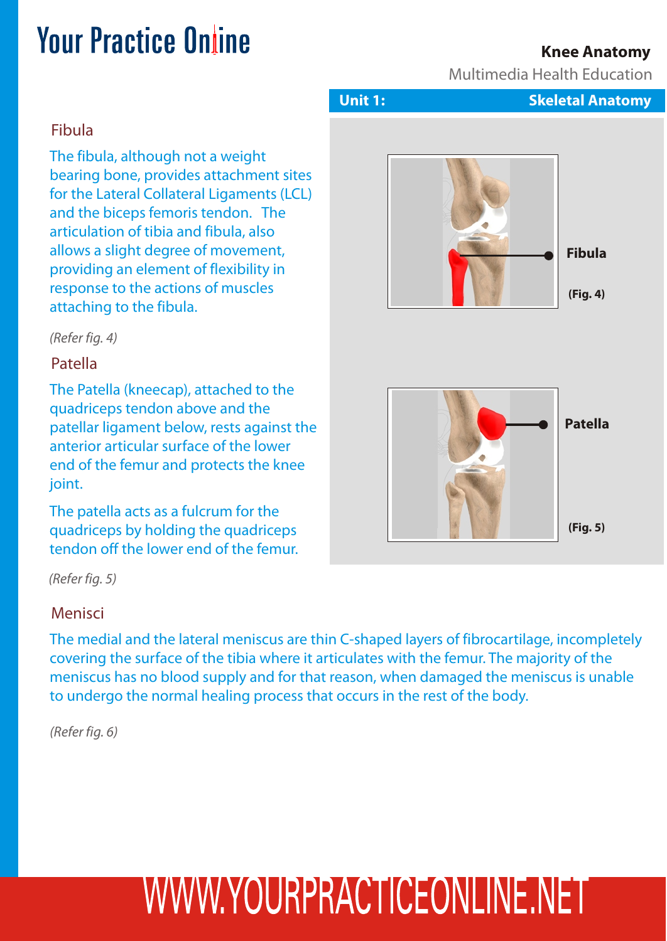## **Knee Anatomy**

Multimedia Health Education

## Fibula

The fibula, although not a weight bearing bone, provides attachment sites for the Lateral Collateral Ligaments (LCL) and the biceps femoris tendon. The articulation of tibia and fibula, also allows a slight degree of movement, providing an element of flexibility in response to the actions of muscles attaching to the fibula.

*(Refer fig. 4)*

## Patella

The Patella (kneecap), attached to the quadriceps tendon above and the patellar ligament below, rests against the anterior articular surface of the lower end of the femur and protects the knee joint.

The patella acts as a fulcrum for the quadriceps by holding the quadriceps tendon off the lower end of the femur.

*(Refer fig. 5)*

#### Menisci

The medial and the lateral meniscus are thin C-shaped layers of fibrocartilage, incompletely covering the surface of the tibia where it articulates with the femur. The majority of the meniscus has no blood supply and for that reason, when damaged the meniscus is unable to undergo the normal healing process that occurs in the rest of the body.

*(Refer fig. 6)*



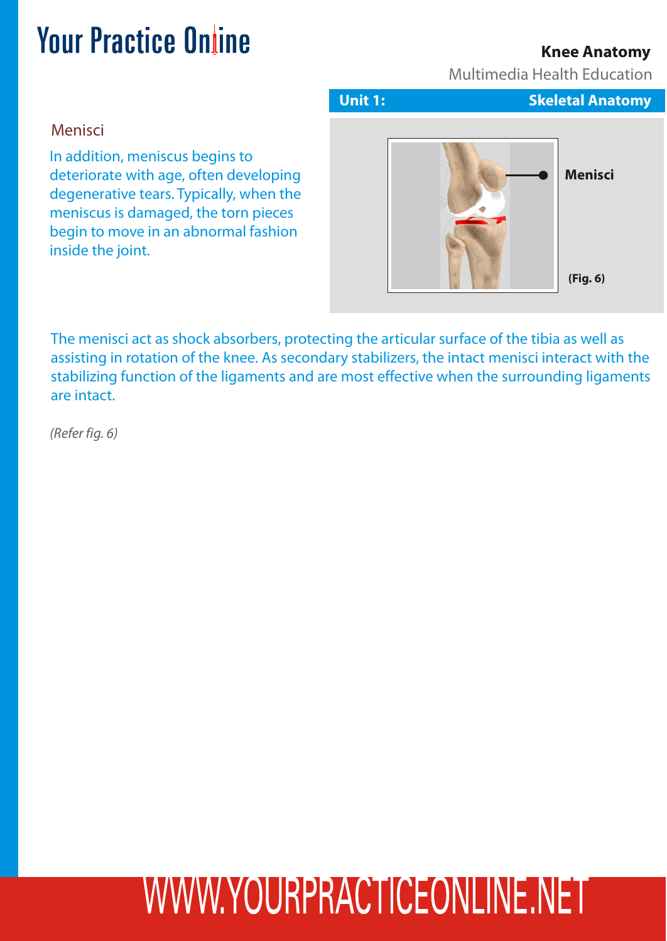## **Knee Anatomy**

Multimedia Health Education

#### Menisci

In addition, meniscus begins to deteriorate with age, often developing degenerative tears. Typically, when the meniscus is damaged, the torn pieces begin to move in an abnormal fashion inside the joint.



The menisci act as shock absorbers, protecting the articular surface of the tibia as well as assisting in rotation of the knee. As secondary stabilizers, the intact menisci interact with the stabilizing function of the ligaments and are most effective when the surrounding ligaments are intact.

*(Refer fig. 6)*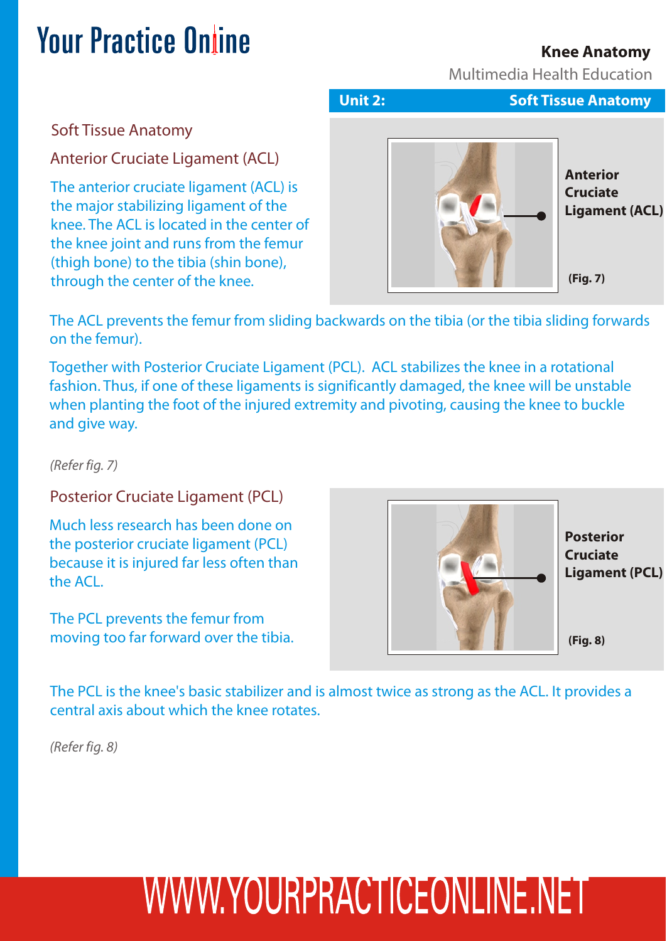## **Knee Anatomy**

Multimedia Health Education

## **Your Practice Online**

Soft Tissue Anatomy

Anterior Cruciate Ligament (ACL)

The anterior cruciate ligament (ACL) is the major stabilizing ligament of the knee. The ACL is located in the center of the knee joint and runs from the femur (thigh bone) to the tibia (shin bone), through the center of the knee.



The ACL prevents the femur from sliding backwards on the tibia (or the tibia sliding forwards on the femur).

Together with Posterior Cruciate Ligament (PCL). ACL stabilizes the knee in a rotational fashion. Thus, if one of these ligaments is significantly damaged, the knee will be unstable when planting the foot of the injured extremity and pivoting, causing the knee to buckle and give way.

*(Refer fig. 7)*

Posterior Cruciate Ligament (PCL)

Much less research has been done on the posterior cruciate ligament (PCL) because it is injured far less often than the ACL.

The PCL prevents the femur from moving too far forward over the tibia.



The PCL is the knee's basic stabilizer and is almost twice as strong as the ACL. It provides a central axis about which the knee rotates.

*(Refer fig. 8)*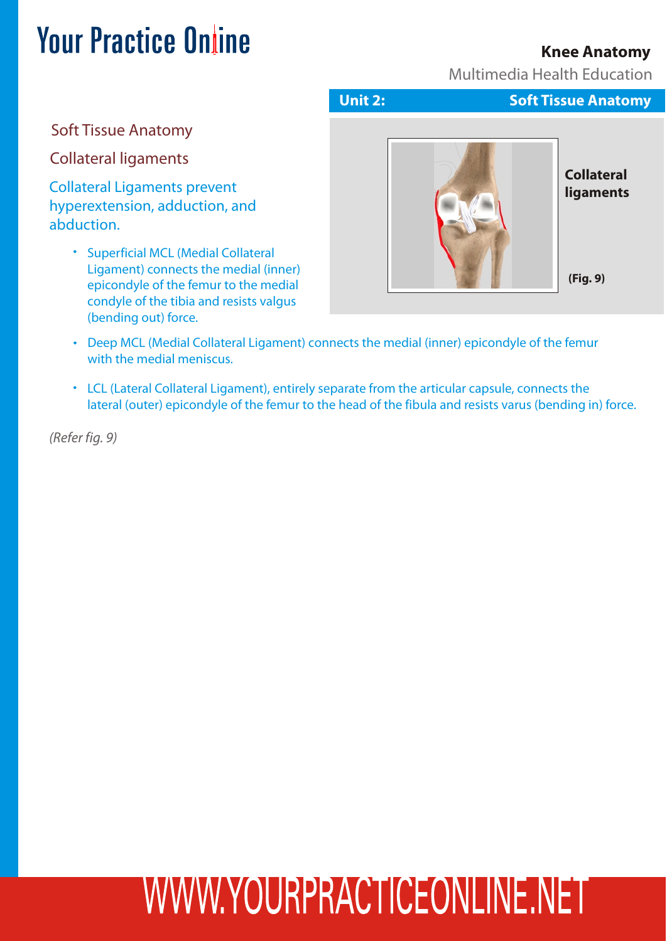## **Knee Anatomy**

Multimedia Health Education

Soft Tissue Anatomy

Collateral ligaments

Collateral Ligaments prevent hyperextension, adduction, and abduction.

> Superficial MCL (Medial Collateral Ligament) connects the medial (inner) epicondyle of the femur to the medial condyle of the tibia and resists valgus (bending out) force.



- Deep MCL (Medial Collateral Ligament) connects the medial (inner) epicondyle of the femur with the medial meniscus.
- LCL (Lateral Collateral Ligament), entirely separate from the articular capsule, connects the lateral (outer) epicondyle of the femur to the head of the fibula and resists varus (bending in) force.

*(Refer fig. 9)*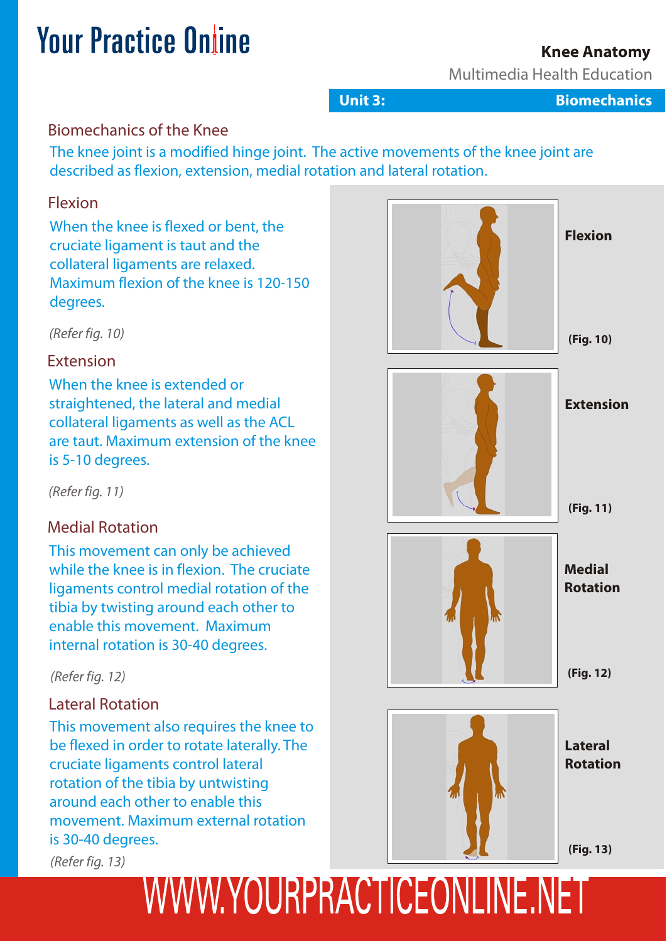## **Knee Anatomy**

Multimedia Health Education

**Unit 3: Biomechanics**

## Biomechanics of the Knee

The knee joint is a modified hinge joint. The active movements of the knee joint are described as flexion, extension, medial rotation and lateral rotation.

#### Flexion

When the knee is flexed or bent, the cruciate ligament is taut and the collateral ligaments are relaxed. Maximum flexion of the knee is 120-150 degrees.

*(Refer fig. 10)*

#### Extension

When the knee is extended or straightened, the lateral and medial collateral ligaments as well as the ACL are taut. Maximum extension of the knee is 5-10 degrees.

*(Refer fig. 11)*

## Medial Rotation

This movement can only be achieved while the knee is in flexion. The cruciate ligaments control medial rotation of the tibia by twisting around each other to enable this movement. Maximum internal rotation is 30-40 degrees.

## Lateral Rotation

This movement also requires the knee to be flexed in order to rotate laterally. The cruciate ligaments control lateral rotation of the tibia by untwisting around each other to enable this movement. Maximum external rotation is 30-40 degrees.

*(Refer fig. 13)*

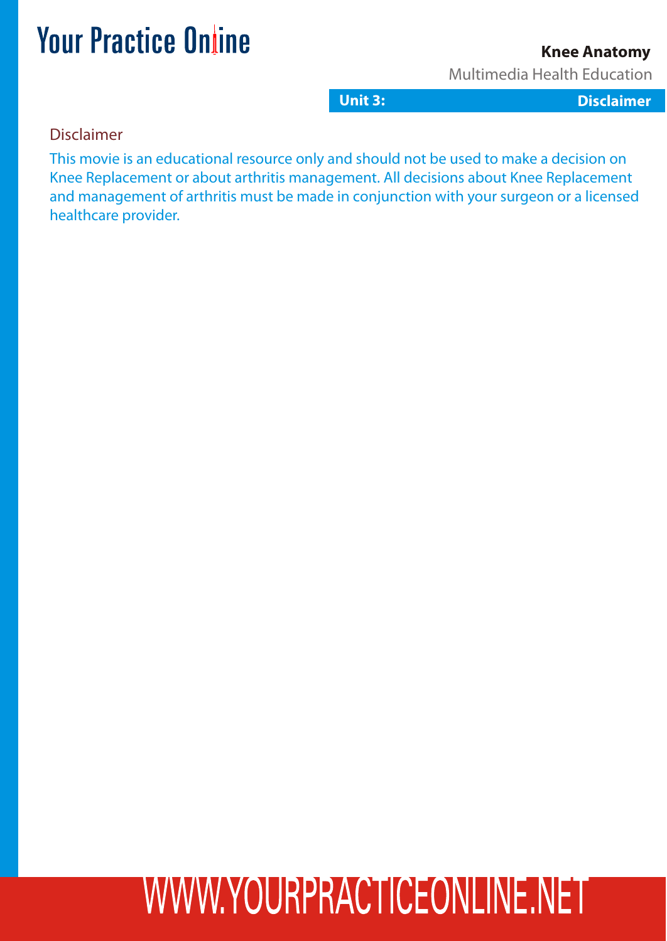## **Knee Anatomy**

Multimedia Health Education

**Unit 3: 2:3: Gastritis L Dclaimer Disclaimer essons**

#### Disclaimer

This movie is an educational resource only and should not be used to make a decision on Knee Replacement or about arthritis management. All decisions about Knee Replacement and management of arthritis must be made in conjunction with your surgeon or a licensed healthcare provider.